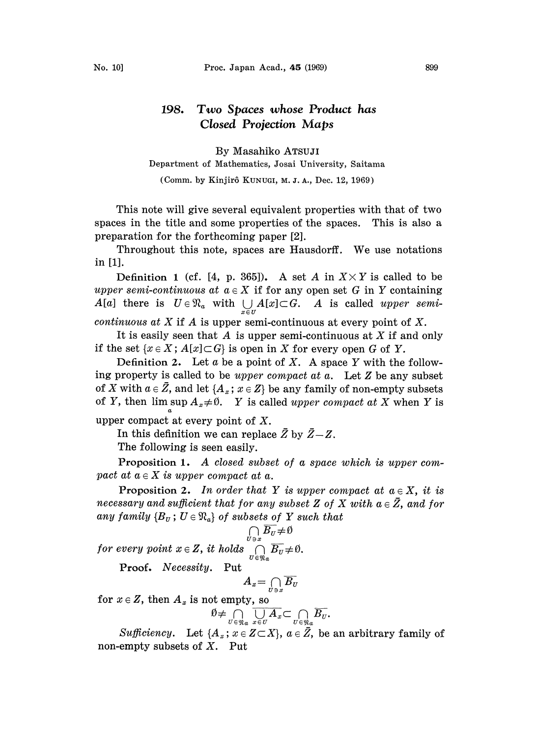## 198. Two Spaces whose Product has Closed Projection Maps

By Masahiko ATSUJI

Department of Mathematics, Josai University, Saitama

(Comm. by Kinjir6 KUNUGI, M. Z. A., Dec. 12, 1969)

This note will give several equivalent properties with that of two spaces in the title and some properties of the spaces. This is also a preparation for the forthcoming paper [2].

Throughout this note, spaces are Hausdorff. We use notations in [1].

Definition 1 (cf. [4, p. 365]). A set A in  $X \times Y$  is called to be upper semi-continuous at  $a \in X$  if for any open set G in Y containing  $A[a]$  there is  $U \in \mathfrak{N}_a$  with  $\bigcup_{x \in U} A[x] \subset G$ . A is called upper semi-

*continuous at X* if A is upper semi-continuous at every point of X.

It is easily seen that  $A$  is upper semi-continuous at  $X$  if and only if the set  $\{x \in X : A[x] \subset G\}$  is open in X for every open G of Y.

Definition 2. Let a be a point of X. A space Y with the following property is called to be upper compact at  $a$ . Let  $Z$  be any subset of X with  $a \in \mathbb{Z}$ , and let  $\{A_x : x \in \mathbb{Z}\}\$ be any family of non-empty subsets of Y, then lim sup  $A_x \neq \emptyset$ . Y is called upper compact at X when Y is

upper compact at every point of X.

In this definition we can replace  $\bar{Z}$  by  $\bar{Z}-Z$ .

The following is seen easily.

Proposition 1. A closed subset of <sup>a</sup> space which is upper compact at  $a \in X$  is upper compact at a.

**Proposition 2.** In order that Y is upper compact at  $a \in X$ , it is **necessary and sufficient that for any subset Z of X with**  $a \in \overline{Z}$ **, and for**  $a \in \overline{Z}$  and for any family  ${B<sub>v</sub>$ ;  $U \in \Re<sub>a</sub>}$  of subsets of Y such that

for every point  $x \in Z$ , it holds  $\bigcap\limits_{U \in \mathfrak{N}_a} B_U \neq \emptyset$ .

Proof. Necessity. Put

$$
A_x = \bigcap_{U \ni x} \overline{B_U}
$$

for  $x \in Z$ , then  $A_x$  is not empty, so

$$
\emptyset \neq \bigcap_{U \in \mathfrak{N}_a} \overline{\bigcup_{x \in U} A_x} \subset \bigcap_{U \in \mathfrak{N}_a} \overline{B_U}.
$$

Sufficiency. Let  $\{A_x; x \in Z \subset X\}$ ,  $a \in \overline{Z}$ , be an arbitrary family of non-empty subsets of  $X$ . Put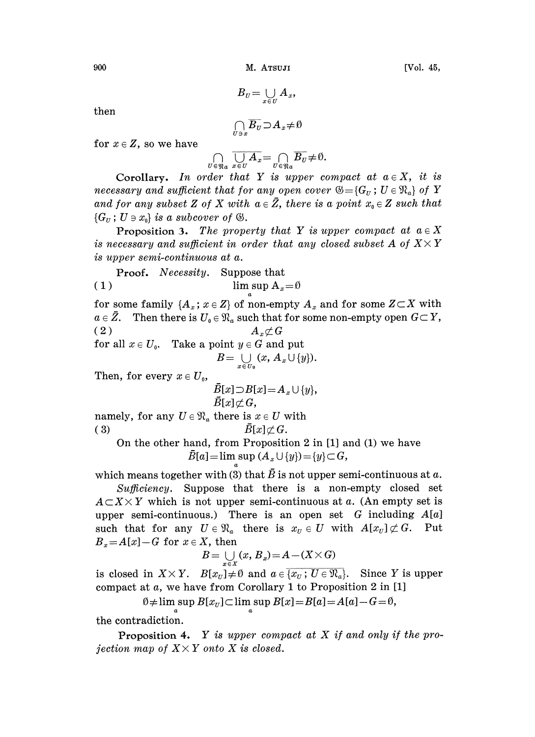$B_U = \bigcup_{x \in U} A_x,$ 

then

$$
\bigcap_{U\ni x}\overline{B_U}\!\supset\! A_x\!\neq\!\emptyset
$$

for  $x \in Z$ , so we have

$$
\bigcap_{U \in \mathfrak{N}_a} \overline{\bigcup_{x \in U} A_x} = \bigcap_{U \in \mathfrak{N}_a} \overline{B_U} \neq \emptyset.
$$

Corollary. In order that Y is upper compact at  $a \in X$ , it is necessary and sufficient that for any open cover  $\mathcal{B} = \{G_u : U \in \mathbb{R}_a\}$  of Y and for any subset Z of X with  $a \in \bar{Z}$ , there is a point  $x_0 \in Z$  such that  $\{G_{\scriptscriptstyle U} : U \ni x_0\}$  is a subcover of  $\mathfrak{G}$ .

**Proposition 3.** The property that Y is upper compact at  $a \in X$ is necessary and sufficient in order that any closed subset A of  $X \times Y$ is upper semi-continuous at a.

Proof. Necessity. Suppose that (1) lim sup  $A_x=0$ 

for some family  $\{A_x; x \in Z\}$  of non-empty  $A_x$  and for some  $Z \subset X$  with  $a \in \bar{Z}.$  Then there is  $U_{\scriptscriptstyle 0} \in \mathfrak{N}_a$  such that for some non-empty open  $G {\,\subset\,} Y,$ (2)  $A_x \not\subset G$ for all  $x \in U_0$ . Take a point  $y \in G$  and put  $B=\bigcup_{x\in U_0}(x, A_x\cup\{y\}).$ Then, for every  $x \in U_0$ ,  $\bar{B}[x] \supset B[x] = A_x \cup \{y\},\$ 

$$
\begin{array}{c} B[x]\not\subset G, \\ \text{namely, for any }U\in\mathfrak{N}_a \text{ there is }x\in U \text{ with } \\ (3) \qquad \qquad \bar{B}[x]\not\subset G. \end{array}
$$

On the other hand, from Proposition 2 in [1] and (1) we have  $\overline{B}[a] = \limsup (A_x \cup \{y\}) = \{y\} \subset G,$ 

which means together with (3) that  $\bar{B}$  is not upper semi-continuous at a.

Sufficiency. Suppose that there is a non-empty closed set  $A\subset X\times Y$  which is not upper semi-continuous at a. (An empty set is upper semi-continuous.) There is an open set G including  $A[a]$ such that for any  $U \in \mathfrak{N}_a$  there is  $x_U \in U$  with  $A[x_U] \not\subset G$ . Put  $B_x = A[x] - G$  for  $x \in X$ , then

$$
B = \bigcup_{x \in X} (x, B_x) = A - (X \times G)
$$

is closed in  $X \times Y$ .  $B[x_U] \neq \emptyset$  and  $a \in \overline{\{x_U : U \in \mathfrak{N}_a\}}$ . Since Y is upper compact at a, we have from Corollary <sup>1</sup> to Proposition 2 in [1]

$$
\emptyset \neq \limsup B[x_U] \subset \limsup B[x] = B[a] = A[a] - G = \emptyset,
$$

the contradiction.

**Proposition 4.** Y is upper compact at X if and only if the projection map of  $X \times Y$  onto X is closed.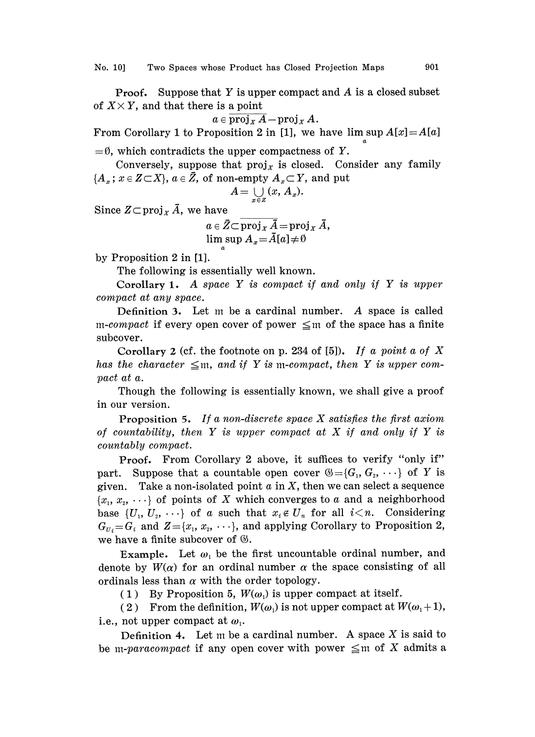**Proof.** Suppose that Y is upper compact and A is a closed subset of  $X \times Y$ , and that there is a point

 $a \in \overline{\text{proj}_X A} - \text{proj}_X A$ .

From Corollary 1 to Proposition 2 in [1], we have lim sup  $A[x] = A[a]$ 

 $=$  0, which contradicts the upper compactness of Y.

Conversely, suppose that  $proj<sub>x</sub>$  is closed. Consider any family  ${A_x; x \in Z \subset X}, a \in \bar{Z}$ , of non-empty  $A_x \subset Y$ , and put

$$
A=\bigcup_{x\in Z}(x, A_x).
$$

Since  $Z \subset \text{proj}_X \overline{A}$ , we have

$$
a \in \bar{Z} \subset \overline{\text{proj}_X \bar{A}} = \text{proj}_X \bar{A},
$$
  
 
$$
\limsup A_x = \bar{A}[a] \neq \emptyset
$$

by Proposition 2 in [1].

The following is essentially well known.

Corollary 1. A space Y is compact if and only if Y is upper compact at any space.

Definition 3. Let m be a cardinal number. A space is called m-compact if every open cover of power  $\leq$ m of the space has a finite subcover.

Corollary 2 (cf. the footnote on p. 234 of [5]). If a point a of X has the character  $\leq$ m, and if Y is m-compact, then Y is upper compact at a.

Though the following is essentially known, we shall give a proof in our version.

**Proposition 5.** If a non-discrete space X satisfies the first axiom of countability, then Y is upper compact at X if and only if Y is countably compact.

Proof. From Corollary 2 above, it suffices to verify "only if" part. Suppose that a countable open cover  $\mathcal{B} = \{G_1, G_2, \dots\}$  of Y is given. Take a non-isolated point  $a$  in  $X$ , then we can select a sequence  ${x_1, x_2, \dots}$  of points of X which converges to a and a neighborhood base  $\{U_1, U_2, \cdots\}$  of a such that  $x_i \notin U_n$  for all  $i \leq n$ . Considering  $G_{U_i} = G_i$  and  $Z = \{x_1, x_2, \dots\}$ , and applying Corollary to Proposition 2, we have a finite subcover of  $\mathcal{C}.$ 

Example. Let  $\omega_1$  be the first uncountable ordinal number, and denote by  $W(\alpha)$  for an ordinal number  $\alpha$  the space consisting of all ordinals less than  $\alpha$  with the order topology.

(1) By Proposition 5,  $W(\omega_1)$  is upper compact at itself.

(2) From the definition,  $W(\omega_1)$  is not upper compact at  $W(\omega_1+1)$ , i.e., not upper compact at  $\omega_1$ .

Definition 4. Let m be a cardinal number. A space  $X$  is said to be m-paracompact if any open cover with power  $\leq$ m of X admits a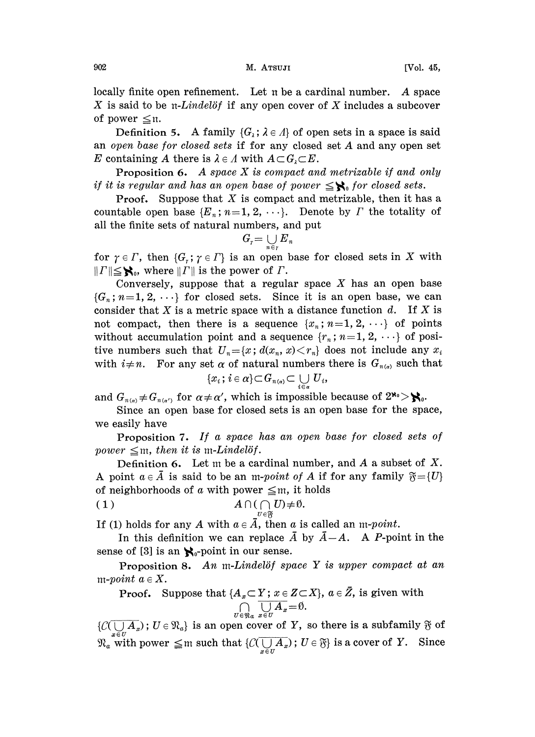locally finite open refinement. Let  $n$  be a cardinal number. A space X is said to be  $\pi$ -Lindelöf if any open cover of X includes a subcover of power  $\leq \mathfrak{n}$ .

Definition 5. A family  $\{G_\lambda : \lambda \in \Lambda\}$  of open sets in a space is said an open base for closed sets if for any closed set A and any open set E containing A there is  $\lambda \in A$  with  $A \subset G_i \subset E$ .

**Proposition 6.** A space  $X$  is compact and metrizable if and only if it is regular and has an open base of power  $\leq \mathcal{N}_0$  for closed sets.

**Proof.** Suppose that X is compact and metrizable, then it has a countable open base  $\{E_n; n=1, 2, \cdots\}$ . Denote by  $\Gamma$  the totality of all the finite sets of natural numbers, and put  $G_r = \bigcup_{n \in r} E_n$ 

$$
G_r=\bigcup_{n\in r} {E}_n
$$

for  $\gamma \in \Gamma$ , then  $\{G_r : \gamma \in \Gamma\}$  is an open base for closed sets in X with  $||T|| \leq$ **S**<sub>0</sub>, where  $||T||$  is the power of  $\Gamma$ .

Conversely, suppose that a regular space  $X$  has an open base  $\{G_n; n=1, 2, \ldots\}$  for closed sets. Since it is an open base, we can consider that X is a metric space with a distance function  $d$ . If X is not compact, then there is a sequence  $\{x_n; n=1, 2, \cdots\}$  of points without accumulation point and a sequence  $\{r_n; n=1, 2, \ldots\}$  of positive numbers such that  $U_n=[x; d(x_n, x) < r_n]$  does not include any  $x_i$ with  $i \neq n$ . For any set  $\alpha$  of natural numbers there is  $G_{n(\alpha)}$  such that

$$
\{x_i\,;\,i \in \alpha\} \!\subset\! G_{n(\alpha)} \!\subset \bigcup_{i \in \alpha} \,U_i,
$$

and  $G_{n(\alpha)} \neq G_{n(\alpha')}$  for  $\alpha \neq \alpha'$ , which is impossible because of  $2^{\aleph_0} > \aleph_0$ .

Since an open base for closed sets is an open base for the space, we easily have

Proposition 7. If a space has an open base for closed sets of power  $\leq$ m, then it is m-Lindelöf.

Definition 6. Let  $m$  be a cardinal number, and  $A$  a subset of  $X$ . A point  $a \in \overline{A}$  is said to be an m-point of A if for any family  $\mathfrak{F} = \{U\}$ of neighborhoods of a with power  $\leq m$ , it holds<br>
(1)  $A \cap (\bigcap_{n \in \mathbb{N}} U) \neq \emptyset$ .

(1) 
$$
A \cap (\bigcap_{U \in \mathfrak{F}} U) \neq \emptyset
$$
.

If (1) holds for any A with  $a \in \overline{A}$ , then a is called an m-point.

In this definition we can replace  $\overline{A}$  by  $\overline{A}-A$ . A P-point in the sense of [3] is an  $\aleph_0$ -point in our sense.

Proposition 8. An m-Lindelöf space  $Y$  is upper compact at an m-point  $a \in X$ .

Proof. Suppose that  $\{A_x{\subset} Y\,;\,x\in Z{\subset} X\},\ a\in\bar Z,$  is given with  $\overline{\bigcup_{y\in H}A_x}=0.$ 

 $\{C(\overline{\bigcup_{x \in U} A_x}); U \in \mathfrak{N}_a\}$  is an open cover of Y, so there is a subfamily  $\mathfrak{F}$  of  $\bigcup_{i\in U} A_{x}$ ;  $U \in \mathcal{R}_{a}$  is an open cover of  $Y$ , so there is a subtainity of order  $\text{with power} \leq m$  such that  $\{C(\overline{\bigcup_{x\in U} A_{x}}); U \in \mathfrak{F}\}$  is a cover of  $Y$ . Since